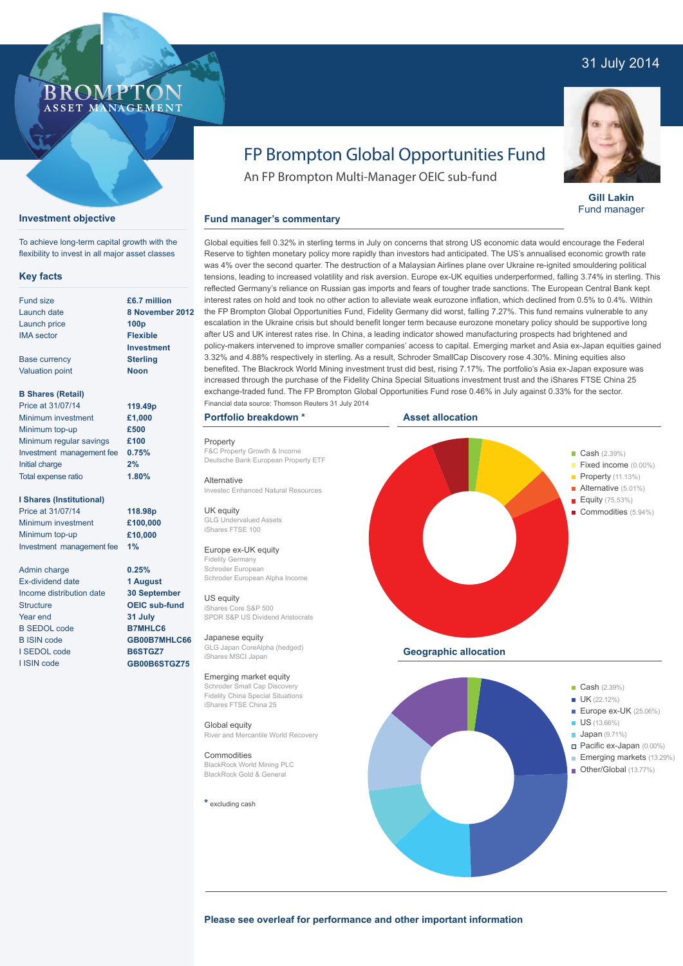# 31 July 2014

## ROMP ASSET MANAGEMENT

## **Investment objective**

To achieve long-term capital growth with the flexibility to invest in all major asset classes

#### **Key facts**

| <b>Fund size</b>          | £6.7 mil         |
|---------------------------|------------------|
|                           |                  |
| Launch date               | 8 Nover          |
| Launch price              | 100 <sub>p</sub> |
| <b>IMA</b> sector         | <b>Flexible</b>  |
|                           | Investm          |
| <b>Base currency</b>      | <b>Sterling</b>  |
| <b>Valuation point</b>    | <b>Noon</b>      |
| <b>B Shares (Retail)</b>  |                  |
| Price at 31/07/14         | 119.49p          |
| Minimum investment        | £1,000           |
| Minimum top-up            | £500             |
| Minimum regular savings   | £100             |
| Investment management fee | 0.75%            |

#### **I Shares (Institutional)**

Initial charge Total expense ratio

Price at 31/07/14 Minimum investment Minimum top-up Investment management fee

Admin charge Ex-dividend date Income distribution date **Structure** Year end B SEDOL code B ISIN code I SEDOL code I ISIN code

**£6.7 million 8 November 2012 Flexible I**ent **Sterling**

> **2% 1.80%**

**118.98p £100,000 £10,000 1%**

**0.25% 1 August 30 September OEIC sub-fund 31 July B7MHLC6 GB00B7MHLC66 B6STGZ7 GB00B6STGZ75**

**Portfolio breakdown \***

Property F&C Property Growth & Income Deutsche Bank European Property ETF

**Fund manager's commentary** 

Alternative Investec Enhanced Natural Resources

UK equity GLG Undervalued Assets iShares FTSE 100

## Europe ex-UK equity

Fidelity Germany Schroder European Schroder European Alpha Income

#### US equity

iShares Core S&P 500 SPDR S&P US Dividend Aristocrats

Japanese equity GLG Japan CoreAlpha (hedged) iShares MSCI Japan

#### Emerging market equity

Schroder Small Cap Discovery Fidelity China Special Situations iShares FTSE China 25

Global equity River and Mercantile World Recovery

Commodities BlackRock World Mining PLC BlackRock Gold & General

**\*** excluding cash



FP Brompton Global Opportunities Fund

An FP Brompton Multi-Manager OEIC sub-fund

#### **Asset allocation**



**Please see overleaf for performance and other important information**



**Gill Lakin** Fund manager